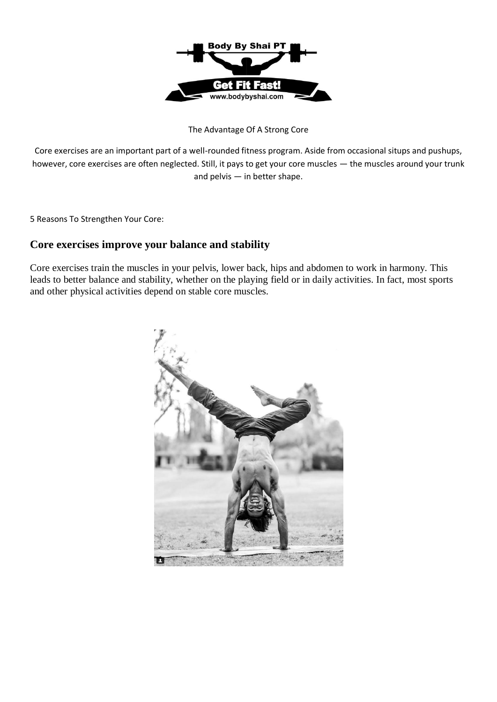

The Advantage Of A Strong Core

Core exercises are an important part of a well-rounded fitness program. Aside from occasional situps and pushups, however, core exercises are often neglected. Still, it pays to get your core muscles — the muscles around your trunk and pelvis — in better shape.

5 Reasons To Strengthen Your Core:

# **Core exercises improve your balance and stability**

Core exercises train the muscles in your pelvis, lower back, hips and abdomen to work in harmony. This leads to better balance and stability, whether on the playing field or in daily activities. In fact, most sports and other physical activities depend on stable core muscles.

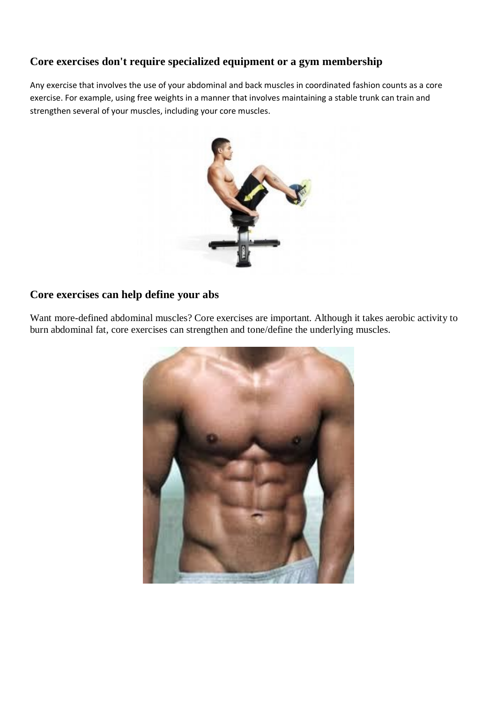# **Core exercises don't require specialized equipment or a gym membership**

Any exercise that involves the use of your abdominal and back muscles in coordinated fashion counts as a core exercise. For example, using free weights in a manner that involves maintaining a stable trunk can train and strengthen several of your muscles, including your core muscles.



## **Core exercises can help define your abs**

Want more-defined abdominal muscles? Core exercises are important. Although it takes aerobic activity to burn abdominal fat, core exercises can strengthen and tone/define the underlying muscles.